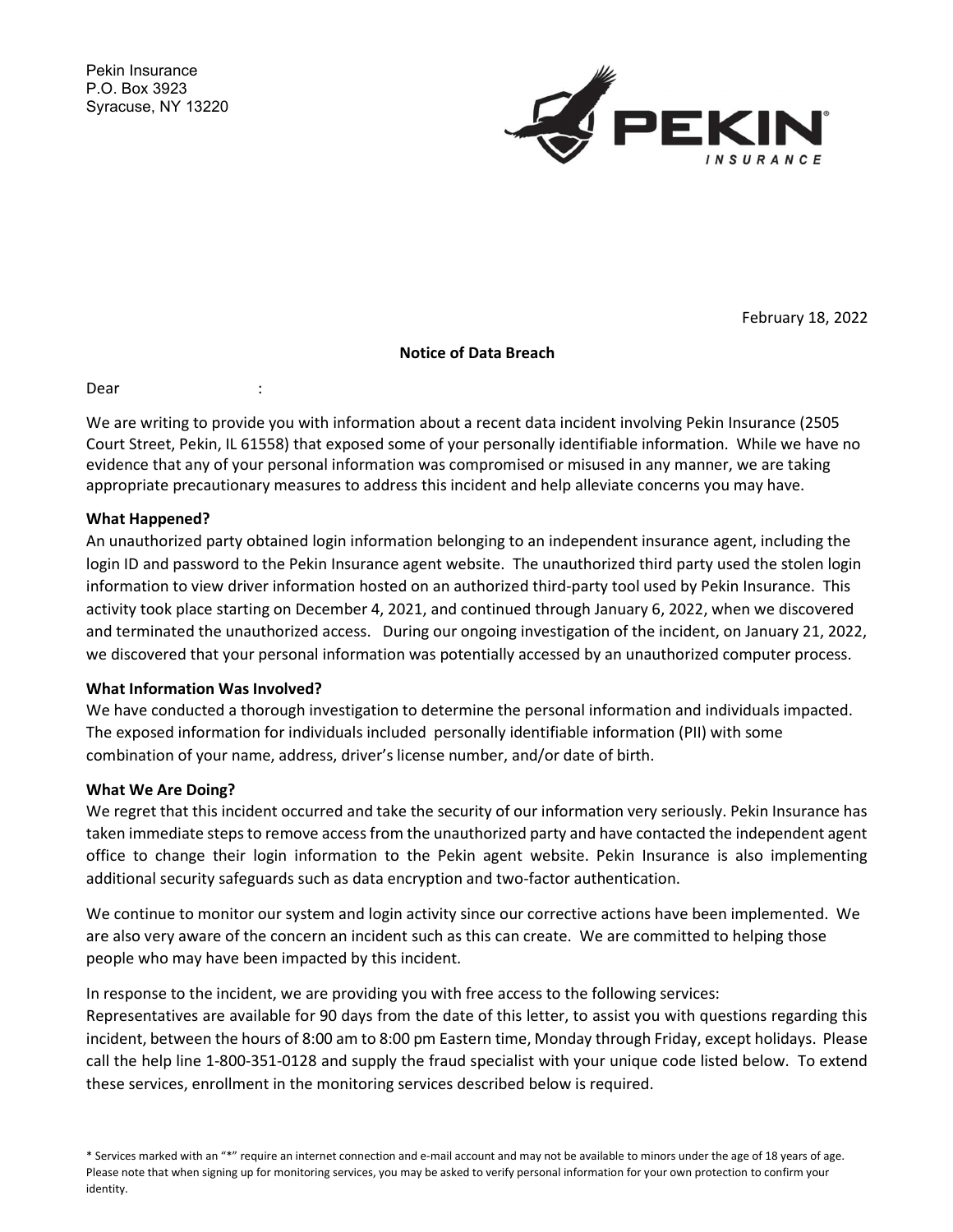Pekin Insurance P.O. Box 3923 Syracuse, NY 13220



February 18, 2022

### Notice of Data Breach

Dear :

We are writing to provide you with information about a recent data incident involving Pekin Insurance (2505 Court Street, Pekin, IL 61558) that exposed some of your personally identifiable information. While we have no evidence that any of your personal information was compromised or misused in any manner, we are taking appropriate precautionary measures to address this incident and help alleviate concerns you may have.

### What Happened?

An unauthorized party obtained login information belonging to an independent insurance agent, including the login ID and password to the Pekin Insurance agent website. The unauthorized third party used the stolen login information to view driver information hosted on an authorized third-party tool used by Pekin Insurance. This activity took place starting on December 4, 2021, and continued through January 6, 2022, when we discovered and terminated the unauthorized access. During our ongoing investigation of the incident, on January 21, 2022, we discovered that your personal information was potentially accessed by an unauthorized computer process.

# What Information Was Involved?

We have conducted a thorough investigation to determine the personal information and individuals impacted. The exposed information for individuals included personally identifiable information (PII) with some combination of your name, address, driver's license number, and/or date of birth.

#### What We Are Doing?

We regret that this incident occurred and take the security of our information very seriously. Pekin Insurance has taken immediate steps to remove access from the unauthorized party and have contacted the independent agent office to change their login information to the Pekin agent website. Pekin Insurance is also implementing additional security safeguards such as data encryption and two-factor authentication.

We continue to monitor our system and login activity since our corrective actions have been implemented. We are also very aware of the concern an incident such as this can create. We are committed to helping those people who may have been impacted by this incident.

In response to the incident, we are providing you with free access to the following services:

Representatives are available for 90 days from the date of this letter, to assist you with questions regarding this incident, between the hours of 8:00 am to 8:00 pm Eastern time, Monday through Friday, except holidays. Please call the help line 1-800-351-0128 and supply the fraud specialist with your unique code listed below. To extend these services, enrollment in the monitoring services described below is required.

<sup>\*</sup> Services marked with an "\*" require an internet connection and e-mail account and may not be available to minors under the age of 18 years of age. Please note that when signing up for monitoring services, you may be asked to verify personal information for your own protection to confirm your identity.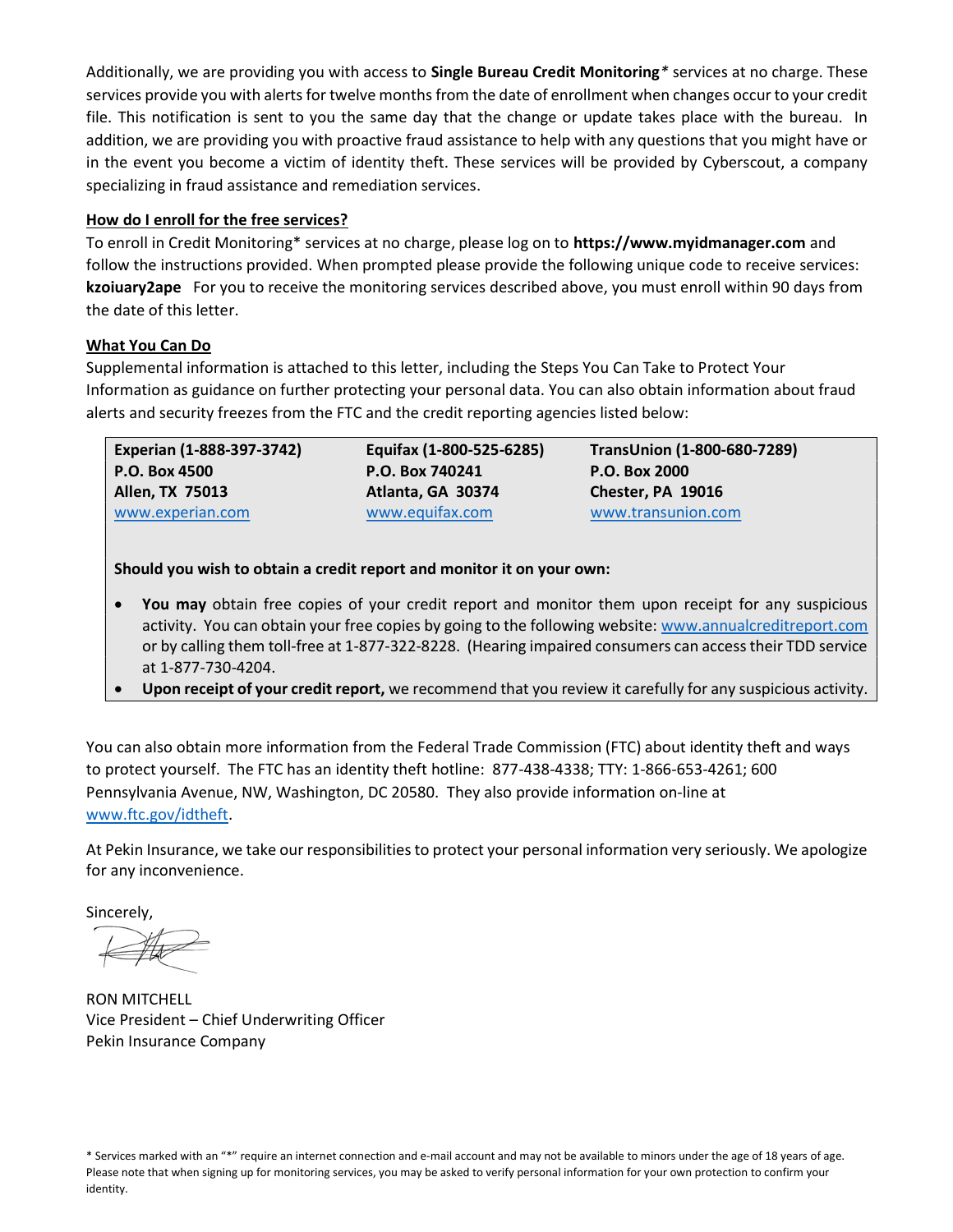Additionally, we are providing you with access to Single Bureau Credit Monitoring\* services at no charge. These services provide you with alerts for twelve months from the date of enrollment when changes occur to your credit file. This notification is sent to you the same day that the change or update takes place with the bureau. In addition, we are providing you with proactive fraud assistance to help with any questions that you might have or in the event you become a victim of identity theft. These services will be provided by Cyberscout, a company specializing in fraud assistance and remediation services.

# How do I enroll for the free services?

To enroll in Credit Monitoring\* services at no charge, please log on to https://www.myidmanager.com and follow the instructions provided. When prompted please provide the following unique code to receive services: kzoiuary2ape For you to receive the monitoring services described above, you must enroll within 90 days from the date of this letter.

# What You Can Do

Supplemental information is attached to this letter, including the Steps You Can Take to Protect Your Information as guidance on further protecting your personal data. You can also obtain information about fraud alerts and security freezes from the FTC and the credit reporting agencies listed below:

| <b>Experian (1-888-397-3742)</b> | Equifax (1-800-525-6285) | TransUnion (1-800-680-7289) |
|----------------------------------|--------------------------|-----------------------------|
| P.O. Box 4500                    | P.O. Box 740241          | P.O. Box 2000               |
| Allen, TX 75013                  | Atlanta, GA 30374        | Chester, PA 19016           |
| www.experian.com                 | www.equifax.com          | www.transunion.com          |

Should you wish to obtain a credit report and monitor it on your own:

- You may obtain free copies of your credit report and monitor them upon receipt for any suspicious activity. You can obtain your free copies by going to the following website: www.annualcreditreport.com or by calling them toll-free at 1-877-322-8228. (Hearing impaired consumers can access their TDD service at 1-877-730-4204.
- Upon receipt of your credit report, we recommend that you review it carefully for any suspicious activity.

You can also obtain more information from the Federal Trade Commission (FTC) about identity theft and ways to protect yourself. The FTC has an identity theft hotline: 877-438-4338; TTY: 1-866-653-4261; 600 Pennsylvania Avenue, NW, Washington, DC 20580. They also provide information on-line at www.ftc.gov/idtheft.

At Pekin Insurance, we take our responsibilities to protect your personal information very seriously. We apologize for any inconvenience.

Sincerely,

RON MITCHELL Vice President – Chief Underwriting Officer Pekin Insurance Company

<sup>\*</sup> Services marked with an "\*" require an internet connection and e-mail account and may not be available to minors under the age of 18 years of age. Please note that when signing up for monitoring services, you may be asked to verify personal information for your own protection to confirm your identity.